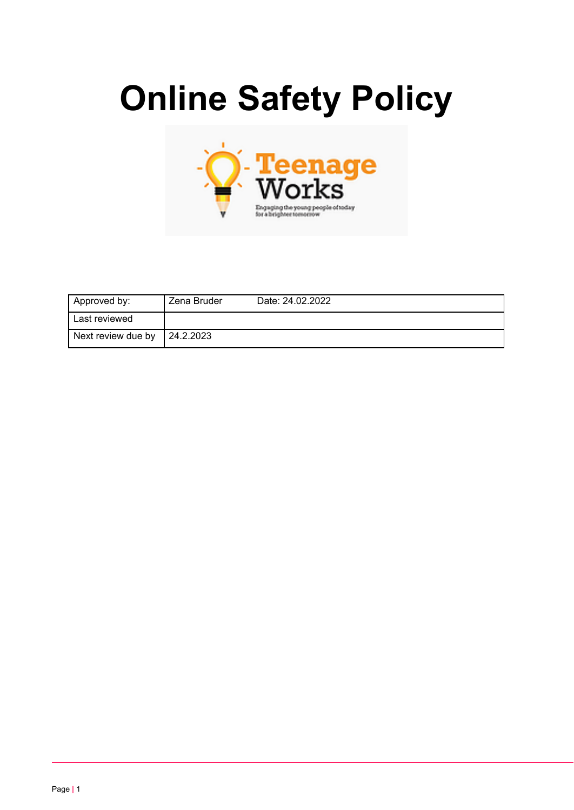# **Online Safety Policy**



| Approved by:       | Zena Bruder | Date: 24.02.2022 |
|--------------------|-------------|------------------|
| Last reviewed      |             |                  |
| Next review due by | 24.2.2023   |                  |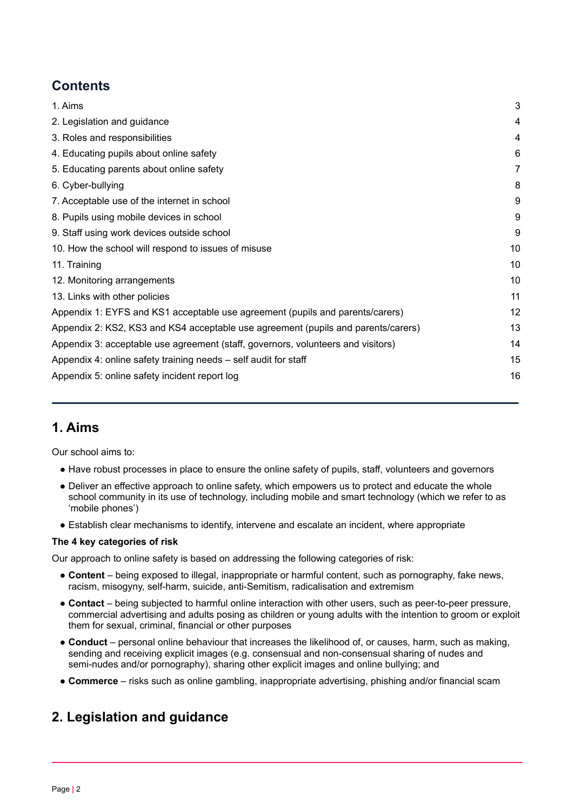## **Contents**

| 1. Aims                                                                           | 3  |
|-----------------------------------------------------------------------------------|----|
| 2. Legislation and guidance                                                       | 4  |
| 3. Roles and responsibilities                                                     | 4  |
| 4. Educating pupils about online safety                                           | 6  |
| 5. Educating parents about online safety                                          | 7  |
| 6. Cyber-bullying                                                                 | 8  |
| 7. Acceptable use of the internet in school                                       | 9  |
| 8. Pupils using mobile devices in school                                          | 9  |
| 9. Staff using work devices outside school                                        | 9  |
| 10. How the school will respond to issues of misuse                               | 10 |
| 11. Training                                                                      | 10 |
| 12. Monitoring arrangements                                                       | 10 |
| 13. Links with other policies                                                     | 11 |
| Appendix 1: EYFS and KS1 acceptable use agreement (pupils and parents/carers)     | 12 |
| Appendix 2: KS2, KS3 and KS4 acceptable use agreement (pupils and parents/carers) | 13 |
| Appendix 3: acceptable use agreement (staff, governors, volunteers and visitors)  | 14 |
| Appendix 4: online safety training needs – self audit for staff                   | 15 |
| Appendix 5: online safety incident report log                                     | 16 |
|                                                                                   |    |

## <span id="page-1-0"></span>**1. Aims**

Our school aims to:

- Have robust processes in place to ensure the online safety of pupils, staff, volunteers and governors
- Deliver an effective approach to online safety, which empowers us to protect and educate the whole school community in its use of technology, including mobile and smart technology (which we refer to as 'mobile phones')
- Establish clear mechanisms to identify, intervene and escalate an incident, where appropriate

#### **The 4 key categories of risk**

Our approach to online safety is based on addressing the following categories of risk:

- **Content** being exposed to illegal, inappropriate or harmful content, such as pornography, fake news, racism, misogyny, self-harm, suicide, anti-Semitism, radicalisation and extremism
- **Contact** being subjected to harmful online interaction with other users, such as peer-to-peer pressure, commercial advertising and adults posing as children or young adults with the intention to groom or exploit them for sexual, criminal, financial or other purposes
- **Conduct** personal online behaviour that increases the likelihood of, or causes, harm, such as making, sending and receiving explicit images (e.g. consensual and non-consensual sharing of nudes and semi-nudes and/or pornography), sharing other explicit images and online bullying; and
- **Commerce** risks such as online gambling, inappropriate advertising, phishing and/or financial scam

## <span id="page-1-1"></span>**2. Legislation and guidance**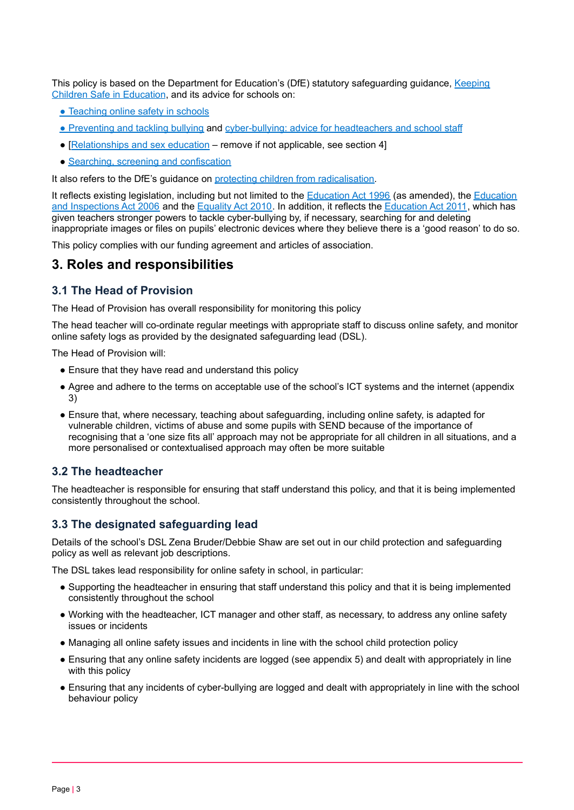This policy is based on the Department for Education's (DfE) statutory safeguarding guidance, [Keeping](https://www.gov.uk/government/publications/keeping-children-safe-in-education--2) Children Safe in [Education](https://www.gov.uk/government/publications/keeping-children-safe-in-education--2), and its advice for schools on:

- [Teaching](https://www.gov.uk/government/publications/teaching-online-safety-in-schools) online [s](https://www.gov.uk/government/publications/preventing-and-tackling-bullying)afety in schools
- [Preventing](https://www.gov.uk/government/publications/preventing-and-tackling-bullying) and tackling bullying and [cyber-bullying:](https://www.gov.uk/government/publications/preventing-and-tackling-bullying) advice for headteachers and school staff
- [[Relationships](https://www.gov.uk/government/publications/relationships-education-relationships-and-sex-education-rse-and-health-education) and sex education remove if not applicable, see section 4]
- Searching, screening and [confiscation](https://www.gov.uk/government/publications/searching-screening-and-confiscation)

It also refers to the DfE's quidance on protecting children from [radicalisation.](https://www.gov.uk/government/publications/protecting-children-from-radicalisation-the-prevent-duty)

It reflects existing legislation, including but not limited to the **[Education](https://www.legislation.gov.uk/ukpga/2006/40/contents) Act 1996** (as amended), the **Education** and [Inspections](https://www.legislation.gov.uk/ukpga/2006/40/contents) Act 2006 and the [Equality](https://www.legislation.gov.uk/ukpga/2010/15/contents) Act 2010. In addition, it reflects the [Education](http://www.legislation.gov.uk/ukpga/2011/21/contents/enacted) Act 2011, which has given teachers stronger powers to tackle cyber-bullying by, if necessary, searching for and deleting inappropriate images or files on pupils' electronic devices where they believe there is a 'good reason' to do so.

<span id="page-2-0"></span>This policy complies with our funding agreement and articles of association.

#### **3. Roles and responsibilities**

## **3.1 The Head of Provision**

The Head of Provision has overall responsibility for monitoring this policy

The head teacher will co-ordinate regular meetings with appropriate staff to discuss online safety, and monitor online safety logs as provided by the designated safeguarding lead (DSL).

The Head of Provision will:

- Ensure that they have read and understand this policy
- Agree and adhere to the terms on acceptable use of the school's ICT systems and the internet (appendix 3)
- Ensure that, where necessary, teaching about safeguarding, including online safety, is adapted for vulnerable children, victims of abuse and some pupils with SEND because of the importance of recognising that a 'one size fits all' approach may not be appropriate for all children in all situations, and a more personalised or contextualised approach may often be more suitable

#### **3.2 The headteacher**

The headteacher is responsible for ensuring that staff understand this policy, and that it is being implemented consistently throughout the school.

#### **3.3 The designated safeguarding lead**

Details of the school's DSL Zena Bruder/Debbie Shaw are set out in our child protection and safeguarding policy as well as relevant job descriptions.

The DSL takes lead responsibility for online safety in school, in particular:

- Supporting the headteacher in ensuring that staff understand this policy and that it is being implemented consistently throughout the school
- Working with the headteacher, ICT manager and other staff, as necessary, to address any online safety issues or incidents
- Managing all online safety issues and incidents in line with the school child protection policy
- Ensuring that any online safety incidents are logged (see appendix 5) and dealt with appropriately in line with this policy
- Ensuring that any incidents of cyber-bullying are logged and dealt with appropriately in line with the school behaviour policy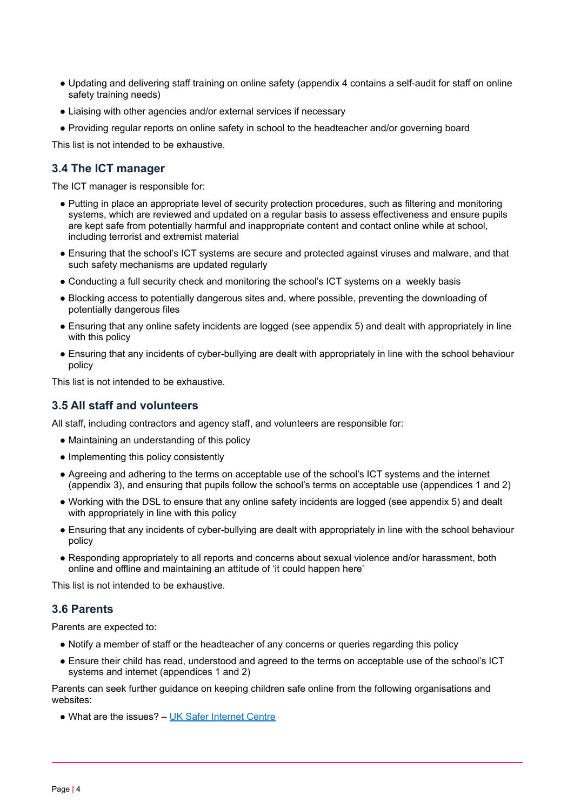- Updating and delivering staff training on online safety (appendix 4 contains a self-audit for staff on online safety training needs)
- Liaising with other agencies and/or external services if necessary
- Providing regular reports on online safety in school to the headteacher and/or governing board

This list is not intended to be exhaustive.

#### **3.4 The ICT manager**

The ICT manager is responsible for:

- Putting in place an appropriate level of security protection procedures, such as filtering and monitoring systems, which are reviewed and updated on a regular basis to assess effectiveness and ensure pupils are kept safe from potentially harmful and inappropriate content and contact online while at school, including terrorist and extremist material
- Ensuring that the school's ICT systems are secure and protected against viruses and malware, and that such safety mechanisms are updated regularly
- Conducting a full security check and monitoring the school's ICT systems on a weekly basis
- Blocking access to potentially dangerous sites and, where possible, preventing the downloading of potentially dangerous files
- Ensuring that any online safety incidents are logged (see appendix 5) and dealt with appropriately in line with this policy
- Ensuring that any incidents of cyber-bullying are dealt with appropriately in line with the school behaviour policy

This list is not intended to be exhaustive.

## **3.5 All staff and volunteers**

All staff, including contractors and agency staff, and volunteers are responsible for:

- Maintaining an understanding of this policy
- Implementing this policy consistently
- Agreeing and adhering to the terms on acceptable use of the school's ICT systems and the internet (appendix 3), and ensuring that pupils follow the school's terms on acceptable use (appendices 1 and 2)
- Working with the DSL to ensure that any online safety incidents are logged (see appendix 5) and dealt with appropriately in line with this policy
- Ensuring that any incidents of cyber-bullying are dealt with appropriately in line with the school behaviour policy
- Responding appropriately to all reports and concerns about sexual violence and/or harassment, both online and offline and maintaining an attitude of 'it could happen here'

This list is not intended to be exhaustive.

#### **3.6 Parents**

Parents are expected to:

- Notify a member of staff or the headteacher of any concerns or queries regarding this policy
- Ensure their child has read, understood and agreed to the terms on acceptable use of the school's ICT systems and internet (appendices 1 and 2)

Parents can seek further guidance on keeping children safe online from the following organisations and websites:

• What are the issues? – UK Safer [Internet](https://www.saferinternet.org.uk/advice-centre/parents-and-carers/what-are-issues) Centre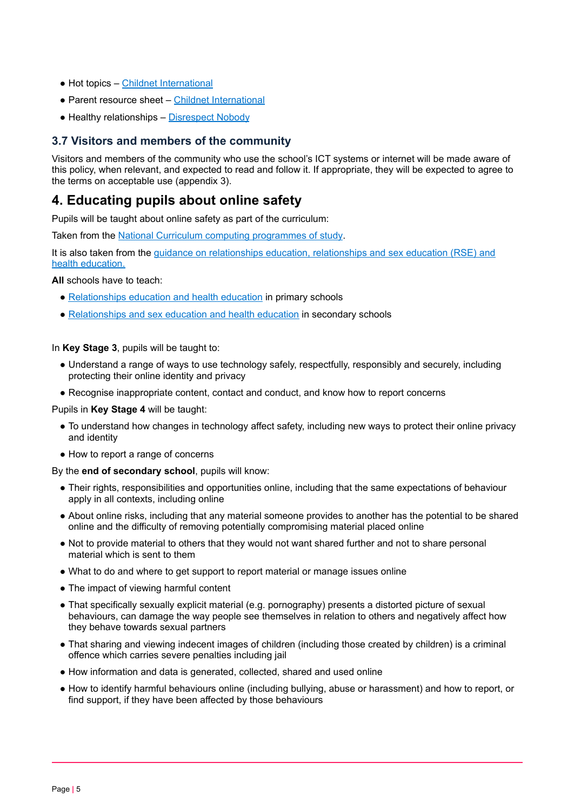- Hot topics Childnet [International](http://www.childnet.com/parents-and-carers/hot-topics)
- Parent resource sheet Childnet [International](https://www.childnet.com/resources/parents-and-carers-resource-sheet)
- Healthy relationships [Disrespect](https://www.disrespectnobody.co.uk/) Nobody

## **3.7 Visitors and members of the community**

Visitors and members of the community who use the school's ICT systems or internet will be made aware of this policy, when relevant, and expected to read and follow it. If appropriate, they will be expected to agree to the terms on acceptable use (appendix 3).

## <span id="page-4-0"></span>**4. Educating pupils about online safety**

Pupils will be taught about online safety as part of the curriculum:

Taken from the National Curriculum computing [programmes](https://www.gov.uk/government/publications/national-curriculum-in-england-computing-programmes-of-study/national-curriculum-in-england-computing-programmes-of-study) of study.

It is also taken from the guidance on [relationships](https://www.gov.uk/government/publications/relationships-education-relationships-and-sex-education-rse-and-health-education) education, relationships and sex education (RSE) and health [education.](https://www.gov.uk/government/publications/relationships-education-relationships-and-sex-education-rse-and-health-education)

**All** schools have to teach:

- [Relationships](https://schoolleaders.thekeysupport.com/uid/8b76f587-7bf6-4994-abf0-43850c6e8d73/) education and health education in primary schools
- [Relationships](https://schoolleaders.thekeysupport.com/uid/66a1d83e-2fb9-411e-91f1-fe52a09d16d1/) and sex education and health education in secondary schools

In **Key Stage 3**, pupils will be taught to:

- Understand a range of ways to use technology safely, respectfully, responsibly and securely, including protecting their online identity and privacy
- Recognise inappropriate content, contact and conduct, and know how to report concerns

Pupils in **Key Stage 4** will be taught:

- To understand how changes in technology affect safety, including new ways to protect their online privacy and identity
- How to report a range of concerns

By the **end of secondary school**, pupils will know:

- Their rights, responsibilities and opportunities online, including that the same expectations of behaviour apply in all contexts, including online
- About online risks, including that any material someone provides to another has the potential to be shared online and the difficulty of removing potentially compromising material placed online
- Not to provide material to others that they would not want shared further and not to share personal material which is sent to them
- What to do and where to get support to report material or manage issues online
- The impact of viewing harmful content
- That specifically sexually explicit material (e.g. pornography) presents a distorted picture of sexual behaviours, can damage the way people see themselves in relation to others and negatively affect how they behave towards sexual partners
- That sharing and viewing indecent images of children (including those created by children) is a criminal offence which carries severe penalties including jail
- How information and data is generated, collected, shared and used online
- How to identify harmful behaviours online (including bullying, abuse or harassment) and how to report, or find support, if they have been affected by those behaviours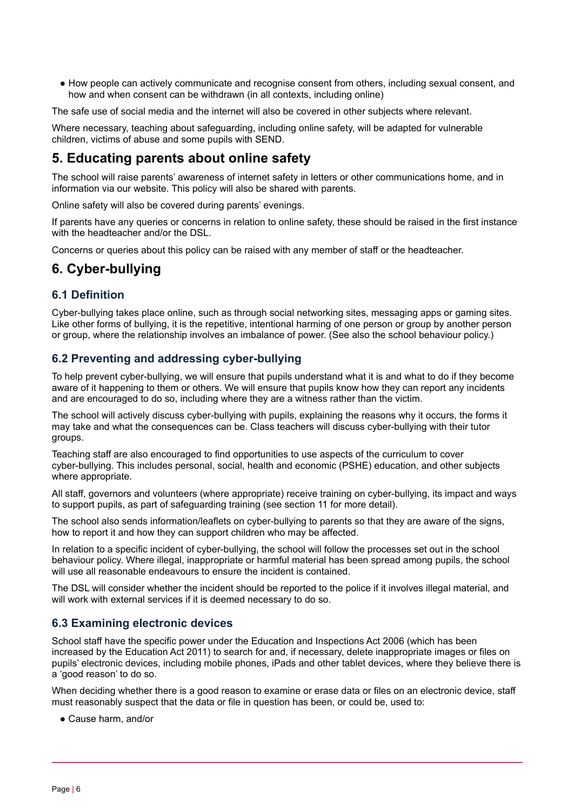● How people can actively communicate and recognise consent from others, including sexual consent, and how and when consent can be withdrawn (in all contexts, including online)

The safe use of social media and the internet will also be covered in other subjects where relevant.

<span id="page-5-0"></span>Where necessary, teaching about safeguarding, including online safety, will be adapted for vulnerable children, victims of abuse and some pupils with SEND.

## **5. Educating parents about online safety**

The school will raise parents' awareness of internet safety in letters or other communications home, and in information via our website. This policy will also be shared with parents.

Online safety will also be covered during parents' evenings.

If parents have any queries or concerns in relation to online safety, these should be raised in the first instance with the headteacher and/or the DSL.

<span id="page-5-1"></span>Concerns or queries about this policy can be raised with any member of staff or the headteacher.

## **6. Cyber-bullying**

### **6.1 Definition**

Cyber-bullying takes place online, such as through social networking sites, messaging apps or gaming sites. Like other forms of bullying, it is the repetitive, intentional harming of one person or group by another person or group, where the relationship involves an imbalance of power. (See also the school behaviour policy.)

### **6.2 Preventing and addressing cyber-bullying**

To help prevent cyber-bullying, we will ensure that pupils understand what it is and what to do if they become aware of it happening to them or others. We will ensure that pupils know how they can report any incidents and are encouraged to do so, including where they are a witness rather than the victim.

The school will actively discuss cyber-bullying with pupils, explaining the reasons why it occurs, the forms it may take and what the consequences can be. Class teachers will discuss cyber-bullying with their tutor groups.

Teaching staff are also encouraged to find opportunities to use aspects of the curriculum to cover cyber-bullying. This includes personal, social, health and economic (PSHE) education, and other subjects where appropriate.

All staff, governors and volunteers (where appropriate) receive training on cyber-bullying, its impact and ways to support pupils, as part of safeguarding training (see section 11 for more detail).

The school also sends information/leaflets on cyber-bullying to parents so that they are aware of the signs, how to report it and how they can support children who may be affected.

In relation to a specific incident of cyber-bullying, the school will follow the processes set out in the school behaviour policy. Where illegal, inappropriate or harmful material has been spread among pupils, the school will use all reasonable endeavours to ensure the incident is contained.

The DSL will consider whether the incident should be reported to the police if it involves illegal material, and will work with external services if it is deemed necessary to do so.

### **6.3 Examining electronic devices**

School staff have the specific power under the Education and Inspections Act 2006 (which has been increased by the Education Act 2011) to search for and, if necessary, delete inappropriate images or files on pupils' electronic devices, including mobile phones, iPads and other tablet devices, where they believe there is a 'good reason' to do so.

When deciding whether there is a good reason to examine or erase data or files on an electronic device, staff must reasonably suspect that the data or file in question has been, or could be, used to:

● Cause harm, and/or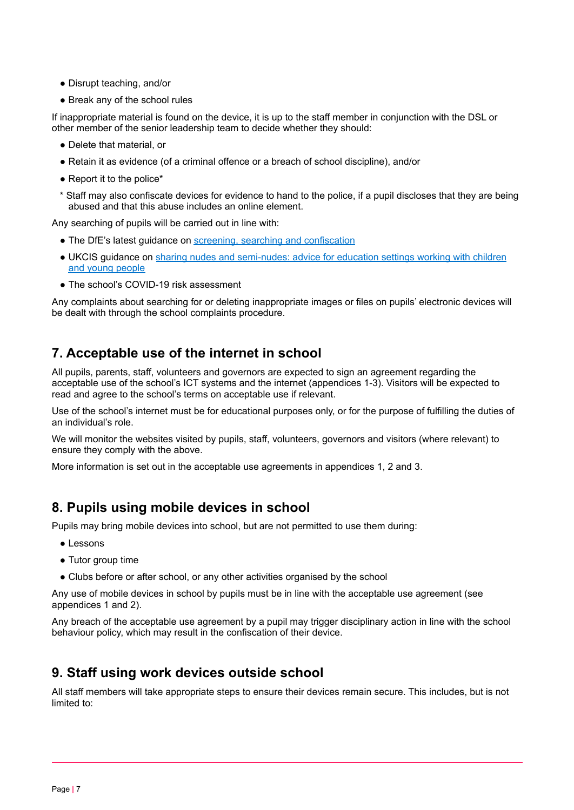- Disrupt teaching, and/or
- Break any of the school rules

If inappropriate material is found on the device, it is up to the staff member in conjunction with the DSL or other member of the senior leadership team to decide whether they should:

- Delete that material, or
- Retain it as evidence (of a criminal offence or a breach of school discipline), and/or
- Report it to the police\*
- \* Staff may also confiscate devices for evidence to hand to the police, if a pupil discloses that they are being abused and that this abuse includes an online element.

Any searching of pupils will be carried out in line with:

- The DfE's latest guidance on screening, searching and [confiscation](https://www.gov.uk/government/publications/searching-screening-and-confiscation)
- UKCIS guidance on sharing nudes and [semi-nudes:](https://www.gov.uk/government/publications/sharing-nudes-and-semi-nudes-advice-for-education-settings-working-with-children-and-young-people) advice for education settings working with children and young [people](https://www.gov.uk/government/publications/sharing-nudes-and-semi-nudes-advice-for-education-settings-working-with-children-and-young-people)
- The school's COVID-19 risk assessment

<span id="page-6-0"></span>Any complaints about searching for or deleting inappropriate images or files on pupils' electronic devices will be dealt with through the school complaints procedure.

## **7. Acceptable use of the internet in school**

All pupils, parents, staff, volunteers and governors are expected to sign an agreement regarding the acceptable use of the school's ICT systems and the internet (appendices 1-3). Visitors will be expected to read and agree to the school's terms on acceptable use if relevant.

Use of the school's internet must be for educational purposes only, or for the purpose of fulfilling the duties of an individual's role.

We will monitor the websites visited by pupils, staff, volunteers, governors and visitors (where relevant) to ensure they comply with the above.

<span id="page-6-1"></span>More information is set out in the acceptable use agreements in appendices 1, 2 and 3.

## **8. Pupils using mobile devices in school**

Pupils may bring mobile devices into school, but are not permitted to use them during:

- Lessons
- Tutor group time
- Clubs before or after school, or any other activities organised by the school

Any use of mobile devices in school by pupils must be in line with the acceptable use agreement (see appendices 1 and 2).

<span id="page-6-2"></span>Any breach of the acceptable use agreement by a pupil may trigger disciplinary action in line with the school behaviour policy, which may result in the confiscation of their device.

## **9. Staff using work devices outside school**

All staff members will take appropriate steps to ensure their devices remain secure. This includes, but is not limited to: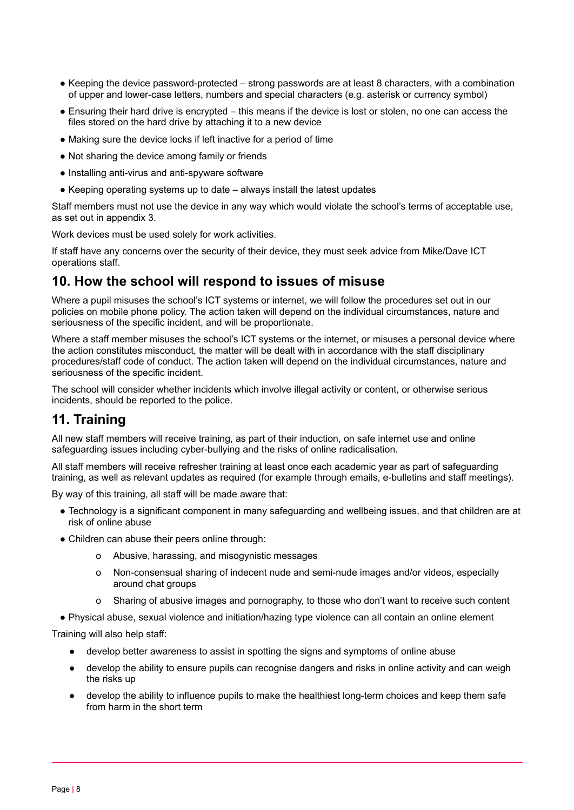- Keeping the device password-protected strong passwords are at least 8 characters, with a combination of upper and lower-case letters, numbers and special characters (e.g. asterisk or currency symbol)
- Ensuring their hard drive is encrypted this means if the device is lost or stolen, no one can access the files stored on the hard drive by attaching it to a new device
- Making sure the device locks if left inactive for a period of time
- Not sharing the device among family or friends
- Installing anti-virus and anti-spyware software
- Keeping operating systems up to date always install the latest updates

Staff members must not use the device in any way which would violate the school's terms of acceptable use, as set out in appendix 3.

Work devices must be used solely for work activities.

<span id="page-7-0"></span>If staff have any concerns over the security of their device, they must seek advice from Mike/Dave ICT operations staff.

## **10. How the school will respond to issues of misuse**

Where a pupil misuses the school's ICT systems or internet, we will follow the procedures set out in our policies on mobile phone policy. The action taken will depend on the individual circumstances, nature and seriousness of the specific incident, and will be proportionate.

Where a staff member misuses the school's ICT systems or the internet, or misuses a personal device where the action constitutes misconduct, the matter will be dealt with in accordance with the staff disciplinary procedures/staff code of conduct. The action taken will depend on the individual circumstances, nature and seriousness of the specific incident.

<span id="page-7-1"></span>The school will consider whether incidents which involve illegal activity or content, or otherwise serious incidents, should be reported to the police.

## **11. Training**

All new staff members will receive training, as part of their induction, on safe internet use and online safeguarding issues including cyber-bullying and the risks of online radicalisation.

All staff members will receive refresher training at least once each academic year as part of safeguarding training, as well as relevant updates as required (for example through emails, e-bulletins and staff meetings).

By way of this training, all staff will be made aware that:

- Technology is a significant component in many safeguarding and wellbeing issues, and that children are at risk of online abuse
- Children can abuse their peers online through:
	- o Abusive, harassing, and misogynistic messages
	- o Non-consensual sharing of indecent nude and semi-nude images and/or videos, especially around chat groups
	- o Sharing of abusive images and pornography, to those who don't want to receive such content
- Physical abuse, sexual violence and initiation/hazing type violence can all contain an online element

Training will also help staff:

- develop better awareness to assist in spotting the signs and symptoms of online abuse
- develop the ability to ensure pupils can recognise dangers and risks in online activity and can weigh the risks up
- develop the ability to influence pupils to make the healthiest long-term choices and keep them safe from harm in the short term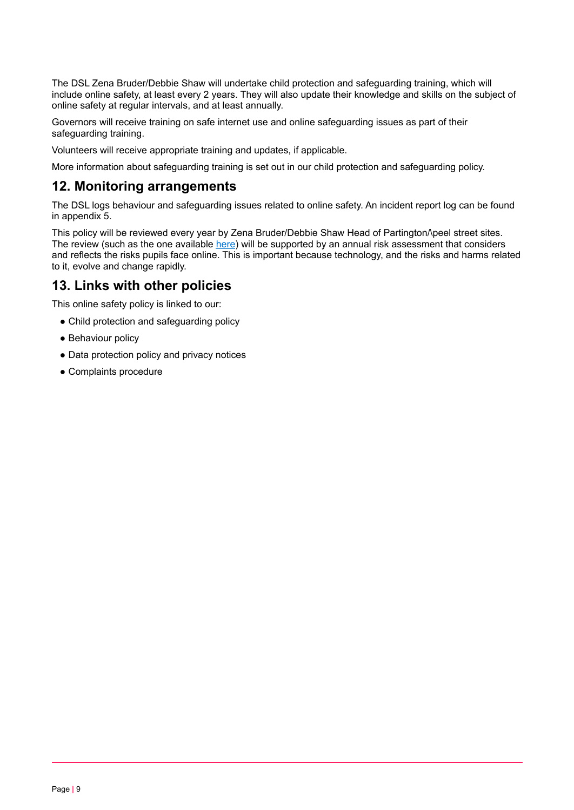The DSL Zena Bruder/Debbie Shaw will undertake child protection and safeguarding training, which will include online safety, at least every 2 years. They will also update their knowledge and skills on the subject of online safety at regular intervals, and at least annually.

Governors will receive training on safe internet use and online safeguarding issues as part of their safeguarding training.

Volunteers will receive appropriate training and updates, if applicable.

<span id="page-8-0"></span>More information about safeguarding training is set out in our child protection and safeguarding policy.

## **12. Monitoring arrangements**

The DSL logs behaviour and safeguarding issues related to online safety. An incident report log can be found in appendix 5.

This policy will be reviewed every year by Zena Bruder/Debbie Shaw Head of Partington/\peel street sites. The review (such as the one available [here](https://360safe.org.uk/)) will be supported by an annual risk assessment that considers and reflects the risks pupils face online. This is important because technology, and the risks and harms related to it, evolve and change rapidly.

## <span id="page-8-1"></span>**13. Links with other policies**

This online safety policy is linked to our:

- Child protection and safeguarding policy
- Behaviour policy
- Data protection policy and privacy notices
- <span id="page-8-2"></span>● Complaints procedure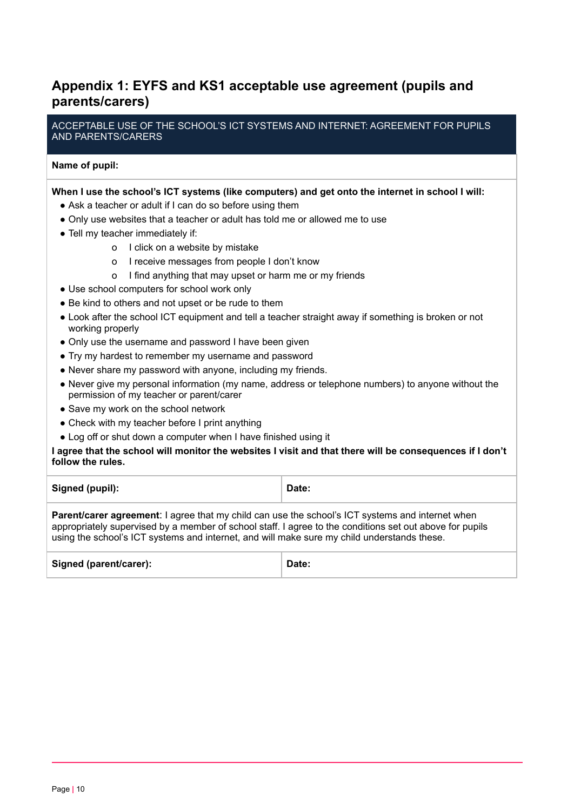## **Appendix 1: EYFS and KS1 acceptable use agreement (pupils and parents/carers)**

ACCEPTABLE USE OF THE SCHOOL'S ICT SYSTEMS AND INTERNET: AGREEMENT FOR PUPILS AND PARENTS/CARERS

#### **Name of pupil:**

#### **When I use the school's ICT systems (like computers) and get onto the internet in school I will:**

- Ask a teacher or adult if I can do so before using them
- Only use websites that a teacher or adult has told me or allowed me to use
- Tell my teacher immediately if:
	- o I click on a website by mistake
	- o I receive messages from people I don't know
	- o I find anything that may upset or harm me or my friends
- Use school computers for school work only
- Be kind to others and not upset or be rude to them
- Look after the school ICT equipment and tell a teacher straight away if something is broken or not working properly
- Only use the username and password I have been given
- Try my hardest to remember my username and password
- Never share my password with anyone, including my friends.
- Never give my personal information (my name, address or telephone numbers) to anyone without the permission of my teacher or parent/carer
- Save my work on the school network
- Check with my teacher before I print anything
- Log off or shut down a computer when I have finished using it

I agree that the school will monitor the websites I visit and that there will be consequences if I don't **follow the rules.**

| Signed (pupil): | Date: |
|-----------------|-------|
|                 |       |

**Parent/carer agreement**: I agree that my child can use the school's ICT systems and internet when appropriately supervised by a member of school staff. I agree to the conditions set out above for pupils using the school's ICT systems and internet, and will make sure my child understands these.

| Signed (parent/carer):<br>Date: |  |
|---------------------------------|--|
|---------------------------------|--|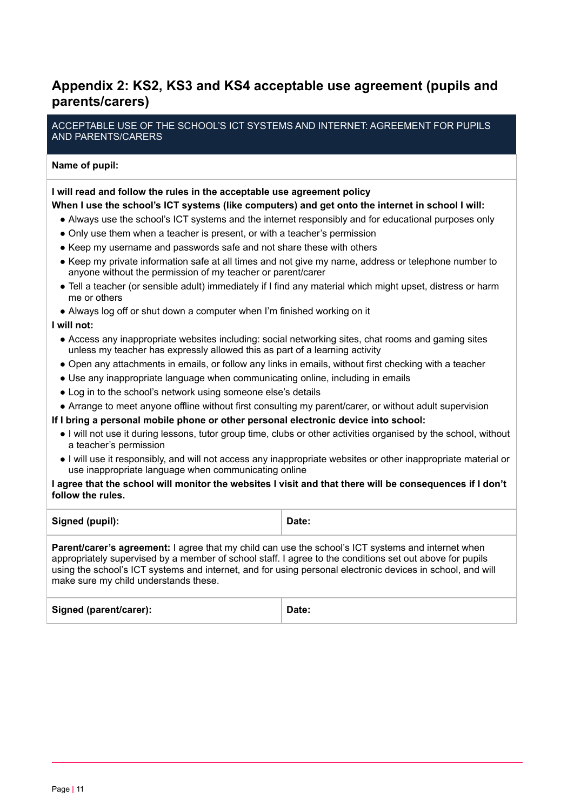## <span id="page-10-0"></span>**Appendix 2: KS2, KS3 and KS4 acceptable use agreement (pupils and parents/carers)**

ACCEPTABLE USE OF THE SCHOOL'S ICT SYSTEMS AND INTERNET: AGREEMENT FOR PUPILS AND PARENTS/CARERS

## **Name of pupil:**

#### **I will read and follow the rules in the acceptable use agreement policy**

#### **When I use the school's ICT systems (like computers) and get onto the internet in school I will:**

- Always use the school's ICT systems and the internet responsibly and for educational purposes only
- Only use them when a teacher is present, or with a teacher's permission
- Keep my username and passwords safe and not share these with others
- Keep my private information safe at all times and not give my name, address or telephone number to anyone without the permission of my teacher or parent/carer
- Tell a teacher (or sensible adult) immediately if I find any material which might upset, distress or harm me or others
- Always log off or shut down a computer when I'm finished working on it

#### **I will not:**

- Access any inappropriate websites including: social networking sites, chat rooms and gaming sites unless my teacher has expressly allowed this as part of a learning activity
- Open any attachments in emails, or follow any links in emails, without first checking with a teacher
- Use any inappropriate language when communicating online, including in emails
- Log in to the school's network using someone else's details
- Arrange to meet anyone offline without first consulting my parent/carer, or without adult supervision

#### **If I bring a personal mobile phone or other personal electronic device into school:**

- I will not use it during lessons, tutor group time, clubs or other activities organised by the school, without a teacher's permission
- I will use it responsibly, and will not access any inappropriate websites or other inappropriate material or use inappropriate language when communicating online

#### I agree that the school will monitor the websites I visit and that there will be consequences if I don't **follow the rules.**

| Signed (pupil): | Date: |
|-----------------|-------|
|-----------------|-------|

**Parent/carer's agreement:** I agree that my child can use the school's ICT systems and internet when appropriately supervised by a member of school staff. I agree to the conditions set out above for pupils using the school's ICT systems and internet, and for using personal electronic devices in school, and will make sure my child understands these.

| Signed (parent/carer):<br>Date: |  |
|---------------------------------|--|
|---------------------------------|--|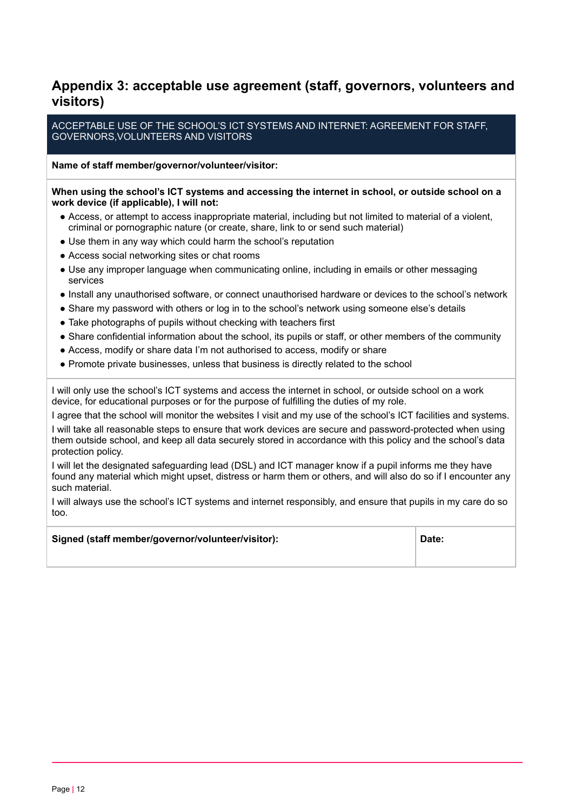## <span id="page-11-0"></span>**Appendix 3: acceptable use agreement (staff, governors, volunteers and visitors)**

ACCEPTABLE USE OF THE SCHOOL'S ICT SYSTEMS AND INTERNET: AGREEMENT FOR STAFF, GOVERNORS,VOLUNTEERS AND VISITORS

**Name of staff member/governor/volunteer/visitor:**

#### **When using the school's ICT systems and accessing the internet in school, or outside school on a work device (if applicable), I will not:**

- Access, or attempt to access inappropriate material, including but not limited to material of a violent, criminal or pornographic nature (or create, share, link to or send such material)
- Use them in any way which could harm the school's reputation
- Access social networking sites or chat rooms
- Use any improper language when communicating online, including in emails or other messaging services
- Install any unauthorised software, or connect unauthorised hardware or devices to the school's network
- Share my password with others or log in to the school's network using someone else's details
- Take photographs of pupils without checking with teachers first
- Share confidential information about the school, its pupils or staff, or other members of the community
- Access, modify or share data I'm not authorised to access, modify or share
- Promote private businesses, unless that business is directly related to the school

I will only use the school's ICT systems and access the internet in school, or outside school on a work device, for educational purposes or for the purpose of fulfilling the duties of my role.

I agree that the school will monitor the websites I visit and my use of the school's ICT facilities and systems. I will take all reasonable steps to ensure that work devices are secure and password-protected when using them outside school, and keep all data securely stored in accordance with this policy and the school's data protection policy.

I will let the designated safeguarding lead (DSL) and ICT manager know if a pupil informs me they have found any material which might upset, distress or harm them or others, and will also do so if I encounter any such material.

I will always use the school's ICT systems and internet responsibly, and ensure that pupils in my care do so too.

| Signed (staff member/governor/volunteer/visitor): | Date: |
|---------------------------------------------------|-------|
|                                                   |       |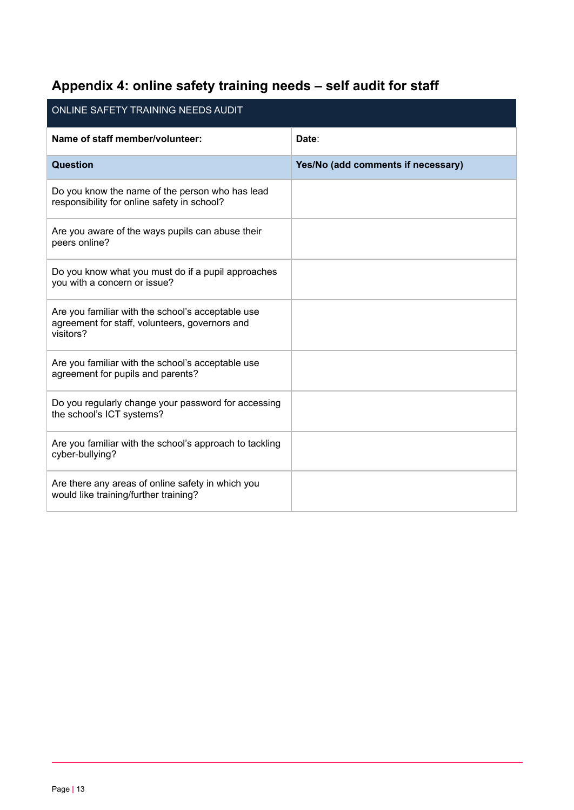# <span id="page-12-0"></span>**Appendix 4: online safety training needs – self audit for staff**

| ONLINE SAFETY TRAINING NEEDS AUDIT                                                                               |                                    |  |
|------------------------------------------------------------------------------------------------------------------|------------------------------------|--|
| Name of staff member/volunteer:                                                                                  | Date:                              |  |
| Question                                                                                                         | Yes/No (add comments if necessary) |  |
| Do you know the name of the person who has lead<br>responsibility for online safety in school?                   |                                    |  |
| Are you aware of the ways pupils can abuse their<br>peers online?                                                |                                    |  |
| Do you know what you must do if a pupil approaches<br>you with a concern or issue?                               |                                    |  |
| Are you familiar with the school's acceptable use<br>agreement for staff, volunteers, governors and<br>visitors? |                                    |  |
| Are you familiar with the school's acceptable use<br>agreement for pupils and parents?                           |                                    |  |
| Do you regularly change your password for accessing<br>the school's ICT systems?                                 |                                    |  |
| Are you familiar with the school's approach to tackling<br>cyber-bullying?                                       |                                    |  |
| Are there any areas of online safety in which you<br>would like training/further training?                       |                                    |  |